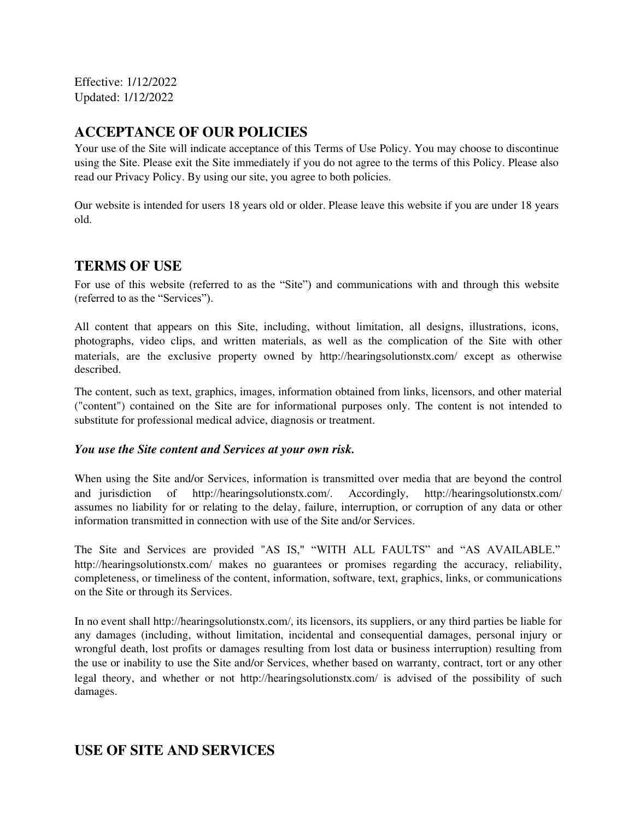Effective: 1/12/2022 Updated: 1/12/2022

# **ACCEPTANCE OF OUR POLICIES**

Your use of the Site will indicate acceptance of this Terms of Use Policy. You may choose to discontinue using the Site. Please exit the Site immediately if you do not agree to the terms of this Policy. Please also read our Privacy Policy. By using our site, you agree to both policies.

Our website is intended for users 18 years old or older. Please leave this website if you are under 18 years old.

## **TERMS OF USE**

For use of this website (referred to as the "Site") and communications with and through this website (referred to as the "Services").

All content that appears on this Site, including, without limitation, all designs, illustrations, icons, photographs, video clips, and written materials, as well as the complication of the Site with other materials, are the exclusive property owned by http://hearingsolutionstx.com/ except as otherwise described.

The content, such as text, graphics, images, information obtained from links, licensors, and other material ("content") contained on the Site are for informational purposes only. The content is not intended to substitute for professional medical advice, diagnosis or treatment.

#### *You use the Site content and Services at your own risk.*

When using the Site and/or Services, information is transmitted over media that are beyond the control and jurisdiction of http://hearingsolutionstx.com/. Accordingly, http://hearingsolutionstx.com/ assumes no liability for or relating to the delay, failure, interruption, or corruption of any data or other information transmitted in connection with use of the Site and/or Services.

The Site and Services are provided "AS IS," "WITH ALL FAULTS" and "AS AVAILABLE." http://hearingsolutionstx.com/ makes no guarantees or promises regarding the accuracy, reliability, completeness, or timeliness of the content, information, software, text, graphics, links, or communications on the Site or through its Services.

In no event shall http://hearingsolutionstx.com/, its licensors, its suppliers, or any third parties be liable for any damages (including, without limitation, incidental and consequential damages, personal injury or wrongful death, lost profits or damages resulting from lost data or business interruption) resulting from the use or inability to use the Site and/or Services, whether based on warranty, contract, tort or any other legal theory, and whether or not http://hearingsolutionstx.com/ is advised of the possibility of such damages.

# **USE OF SITE AND SERVICES**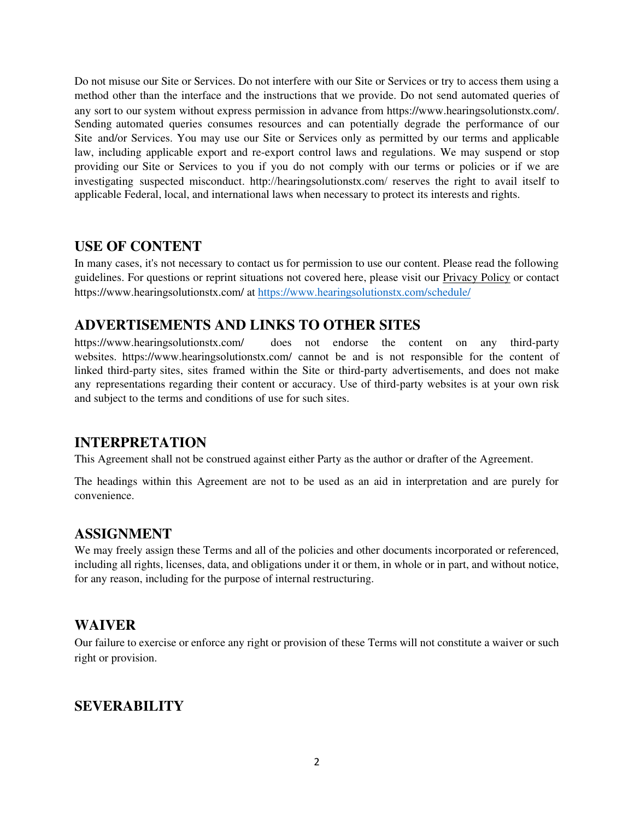Do not misuse our Site or Services. Do not interfere with our Site or Services or try to access them using a method other than the interface and the instructions that we provide. Do not send automated queries of any sort to our system without express permission in advance from https://www.hearingsolutionstx.com/. Sending automated queries consumes resources and can potentially degrade the performance of our Site and/or Services. You may use our Site or Services only as permitted by our terms and applicable law, including applicable export and re-export control laws and regulations. We may suspend or stop providing our Site or Services to you if you do not comply with our terms or policies or if we are investigating suspected misconduct. http://hearingsolutionstx.com/ reserves the right to avail itself to applicable Federal, local, and international laws when necessary to protect its interests and rights.

#### **USE OF CONTENT**

In many cases, it's not necessary to contact us for permission to use our content. Please read the following guidelines. For questions or reprint situations not covered here, please visit our Privacy Policy or contact https://www.hearingsolutionstx.com/ at https://www.[hearingsolutionstx.com](https://www.hemphillhearing.com/schedule/)/schedule/

## **ADVERTISEMENTS AND LINKS TO OTHER SITES**

https://www.hearingsolutionstx.com/ does not endorse the content on any third-party websites. https://www.hearingsolutionstx.com/ cannot be and is not responsible for the content of linked third-party sites, sites framed within the Site or third-party advertisements, and does not make any representations regarding their content or accuracy. Use of third-party websites is at your own risk and subject to the terms and conditions of use for such sites.

## **INTERPRETATION**

This Agreement shall not be construed against either Party as the author or drafter of the Agreement.

The headings within this Agreement are not to be used as an aid in interpretation and are purely for convenience.

# **ASSIGNMENT**

We may freely assign these Terms and all of the policies and other documents incorporated or referenced, including all rights, licenses, data, and obligations under it or them, in whole or in part, and without notice, for any reason, including for the purpose of internal restructuring.

## **WAIVER**

Our failure to exercise or enforce any right or provision of these Terms will not constitute a waiver or such right or provision.

## **SEVERABILITY**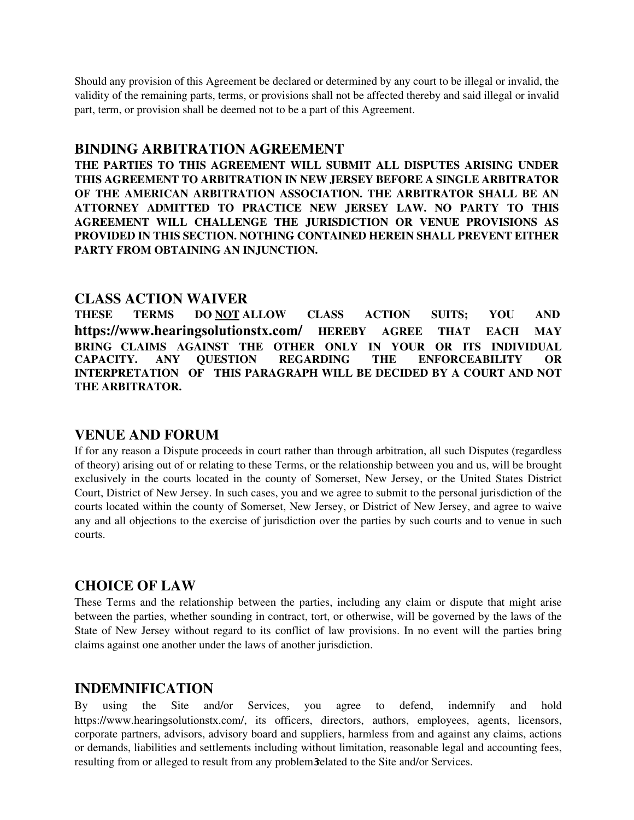Should any provision of this Agreement be declared or determined by any court to be illegal or invalid, the validity of the remaining parts, terms, or provisions shall not be affected thereby and said illegal or invalid part, term, or provision shall be deemed not to be a part of this Agreement.

#### **BINDING ARBITRATION AGREEMENT**

**THE PARTIES TO THIS AGREEMENT WILL SUBMIT ALL DISPUTES ARISING UNDER THIS AGREEMENT TO ARBITRATION IN NEW JERSEY BEFORE A SINGLE ARBITRATOR OF THE AMERICAN ARBITRATION ASSOCIATION. THE ARBITRATOR SHALL BE AN ATTORNEY ADMITTED TO PRACTICE NEW JERSEY LAW. NO PARTY TO THIS AGREEMENT WILL CHALLENGE THE JURISDICTION OR VENUE PROVISIONS AS PROVIDED IN THIS SECTION. NOTHING CONTAINED HEREIN SHALL PREVENT EITHER PARTY FROM OBTAINING AN INJUNCTION.** 

#### **CLASS ACTION WAIVER**

**THESE TERMS DO NOT ALLOW CLASS ACTION SUITS; YOU AND https://www.hearingsolutionstx.com/ HEREBY AGREE THAT EACH MAY BRING CLAIMS AGAINST THE OTHER ONLY IN YOUR OR ITS INDIVIDUAL CAPACITY. ANY QUESTION REGARDING THE ENFORCEABILITY OR INTERPRETATION OF THIS PARAGRAPH WILL BE DECIDED BY A COURT AND NOT THE ARBITRATOR.** 

#### **VENUE AND FORUM**

If for any reason a Dispute proceeds in court rather than through arbitration, all such Disputes (regardless of theory) arising out of or relating to these Terms, or the relationship between you and us, will be brought exclusively in the courts located in the county of Somerset, New Jersey, or the United States District Court, District of New Jersey. In such cases, you and we agree to submit to the personal jurisdiction of the courts located within the county of Somerset, New Jersey, or District of New Jersey, and agree to waive any and all objections to the exercise of jurisdiction over the parties by such courts and to venue in such courts.

## **CHOICE OF LAW**

These Terms and the relationship between the parties, including any claim or dispute that might arise between the parties, whether sounding in contract, tort, or otherwise, will be governed by the laws of the State of New Jersey without regard to its conflict of law provisions. In no event will the parties bring claims against one another under the laws of another jurisdiction.

## **INDEMNIFICATION**

resulting from or alleged to result from any problem 3 elated to the Site and/or Services. By using the Site and/or Services, you agree to defend, indemnify and hold https://www.hearingsolutionstx.com/, its officers, directors, authors, employees, agents, licensors, corporate partners, advisors, advisory board and suppliers, harmless from and against any claims, actions or demands, liabilities and settlements including without limitation, reasonable legal and accounting fees,